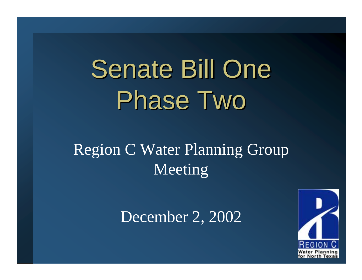# Senate Bill One Phase Two

### Region C Water Planning Group Meeting

December 2, 2002

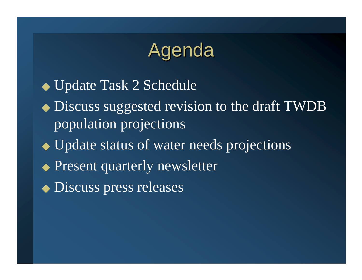## Agenda

◆ Update Task 2 Schedule ◆ Discuss suggested revision to the draft TWDB population projections ◆ Update status of water needs projections ◆ Present quarterly newsletter ◆ Discuss press releases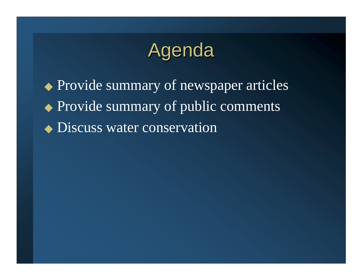## Agenda

◆ Provide summary of newspaper articles ◆ Provide summary of public comments ◆ Discuss water conservation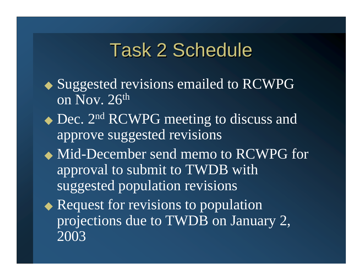## **Task 2 Schedule**

- ◆ Suggested revisions emailed to RCWPG on Nov. 26th
- ◆ Dec. 2<sup>nd</sup> RCWPG meeting to discuss and approve suggested revisions
- ◆ Mid-December send memo to RCWPG for approval to submit to TWDB with suggested population revisions

◆ Request for revisions to population projections due to TWDB on January 2, 2003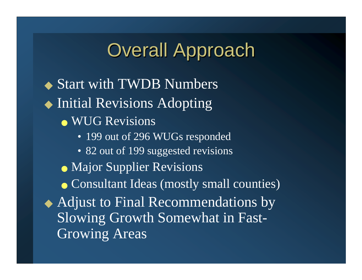## **Overall Approach**

◆ Start with TWDB Numbers ◆ Initial Revisions Adopting ● WUG Revisions • 199 out of 296 WUGs responded • 82 out of 199 suggested revisions • Major Supplier Revisions ● Consultant Ideas (mostly small counties) ◆ Adjust to Final Recommendations by Slowing Growth Somewhat in Fast-Growing Areas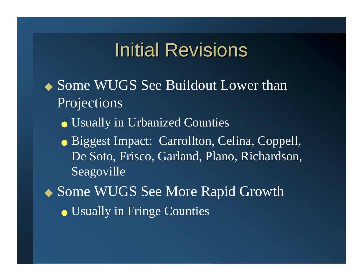## **Initial Revisions**

◆ Some WUGS See Buildout Lower than **Projections** 

- Usually in Urbanized Counties
- Biggest Impact: Carrollton, Celina, Coppell, De Soto, Frisco, Garland, Plano, Richardson, Seagoville

◆ Some WUGS See More Rapid Growth

● Usually in Fringe Counties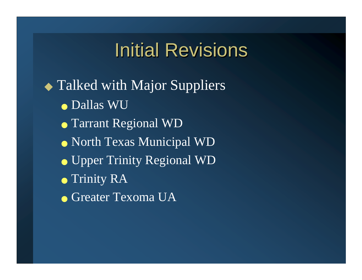## **Initial Revisions**

◆ Talked with Major Suppliers ● Dallas WU ● Tarrant Regional WD ● North Texas Municipal WD ● Upper Trinity Regional WD ● Trinity RA  $\bullet$  Greater Texoma UA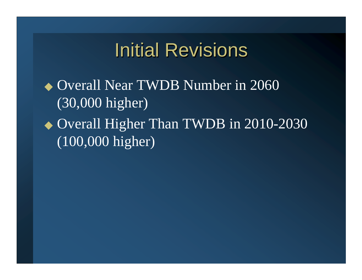## **Initial Revisions**

◆ Overall Near TWDB Number in 2060 (30,000 higher) ◆ Overall Higher Than TWDB in 2010-2030 (100,000 higher)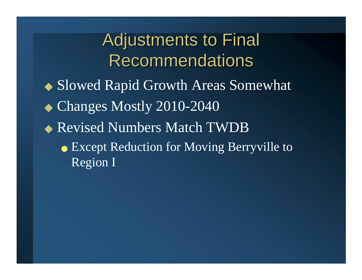Adjustments to Final **Recommendations** ◆ Slowed Rapid Growth Areas Somewhat ◆ Changes Mostly 2010-2040 ◆ Revised Numbers Match TWDB ● Except Reduction for Moving Berryville to Region I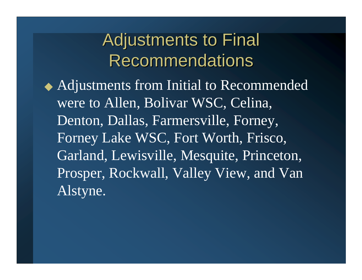## Adjustments to Final **Recommendations**

◆ Adjustments from Initial to Recommended were to Allen, Bolivar WSC, Celina, Denton, Dallas, Farmersville, Forney, Forney Lake WSC, Fort Worth, Frisco, Garland, Lewisville, Mesquite, Princeton, Prosper, Rockwall, Valley View, and Van Alstyne.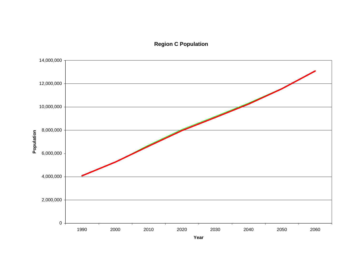**Region C Population**

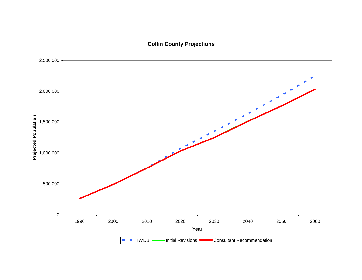**Collin County Projections**

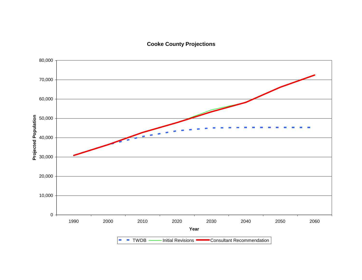**Cooke County Projections**

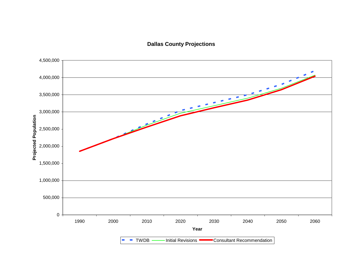**Dallas County Projections**

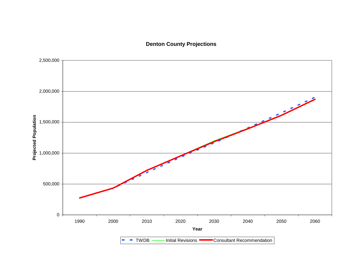### **Denton County Projections**

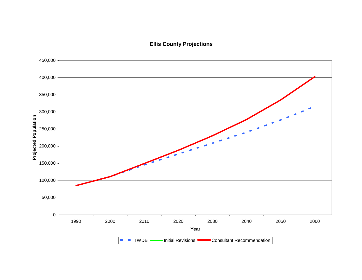#### **Ellis County Projections**

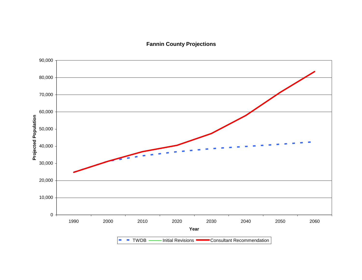**Fannin County Projections**

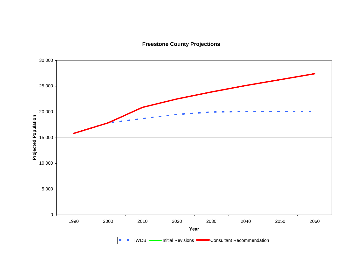**Freestone County Projections**

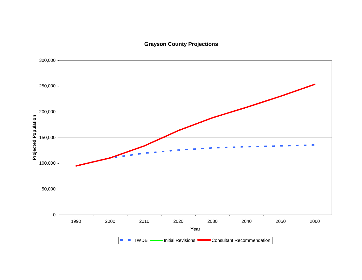### **Grayson County Projections**

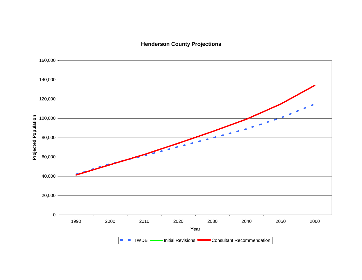**Henderson County Projections**

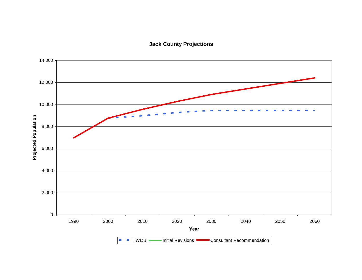**Jack County Projections**

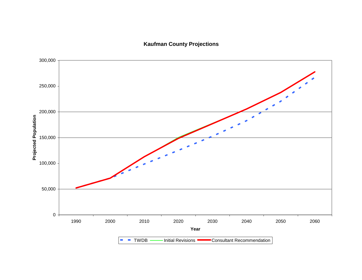**Kaufman County Projections**

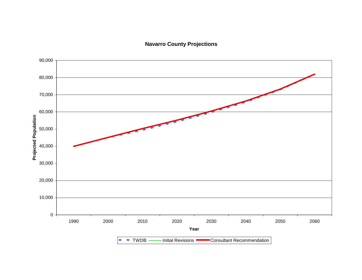### **Navarro County Projections**

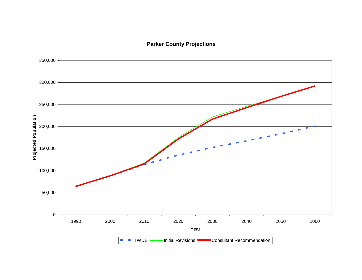**Parker County Projections**

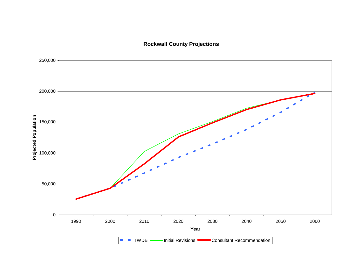#### **Rockwall County Projections**

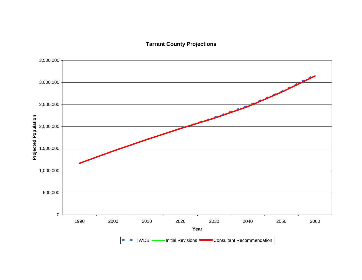**Tarrant County Projections**

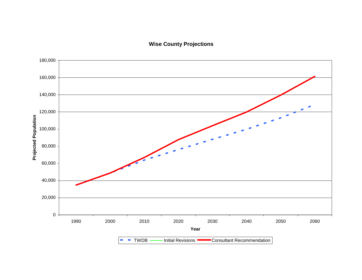#### **Wise County Projections**

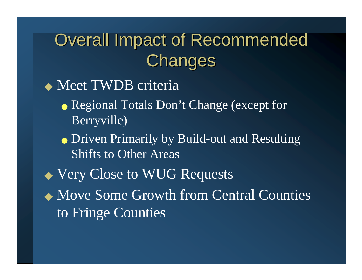## **Overall Impact of Recommended** Changes

◆ Meet TWDB criteria • Regional Totals Don't Change (except for Berryville)

● Driven Primarily by Build-out and Resulting Shifts to Other Areas

◆ Very Close to WUG Requests

◆ Move Some Growth from Central Counties to Fringe Counties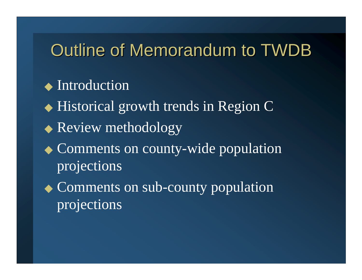### Outline of Memorandum to TWDB

### ◆ Introduction

◆ Historical growth trends in Region C

- ◆ Review methodology
- ◆ Comments on county-wide population projections
- ◆ Comments on sub-county population projections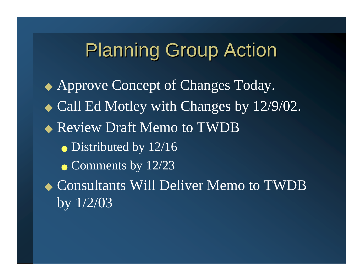## **Planning Group Action**

◆ Approve Concept of Changes Today. ◆ Call Ed Motley with Changes by 12/9/02. ◆ Review Draft Memo to TWDB • Distributed by 12/16  $\bullet$  Comments by 12/23 ◆ Consultants Will Deliver Memo to TWDB by 1/2/03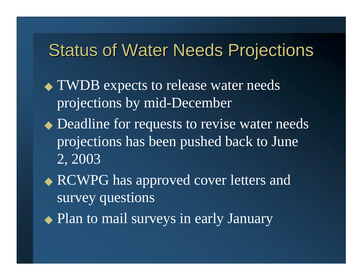### **Status of Water Needs Projections**

- ◆ TWDB expects to release water needs projections by mid-December
- ◆ Deadline for requests to revise water needs projections has been pushed back to June 2, 2003
- ◆ RCWPG has approved cover letters and survey questions
- ◆ Plan to mail surveys in early January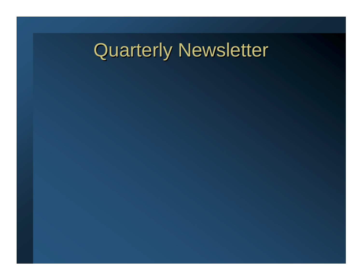## Quarterly Newsletter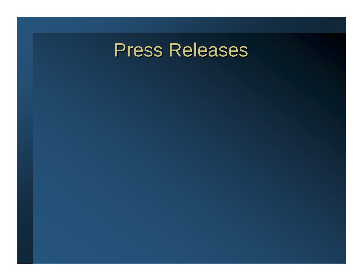## **Press Releases**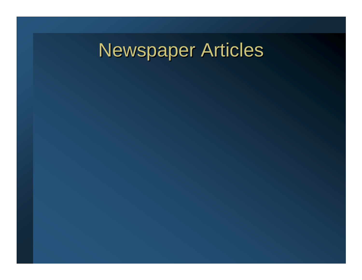## **Newspaper Articles**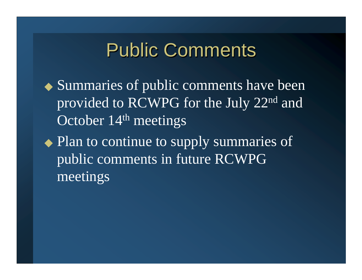## **Public Comments**

- ◆ Summaries of public comments have been provided to RCWPG for the July 22nd and October 14<sup>th</sup> meetings
- ◆ Plan to continue to supply summaries of public comments in future RCWPG meetings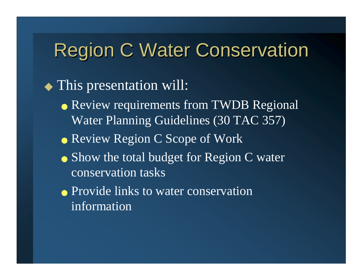## **Region C Water Conservation**

◆ This presentation will:

- Review requirements from TWDB Regional Water Planning Guidelines (30 TAC 357)
- Review Region C Scope of Work
- Show the total budget for Region C water conservation tasks
- Provide links to water conservation information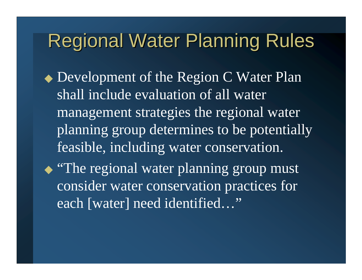## **Regional Water Planning Rules**

- ◆ Development of the Region C Water Plan shall include evaluation of all water management strategies the regional water planning group determines to be potentially feasible, including water conservation.
- ◆ "The regional water planning group must consider water conservation practices for each [water] need identified…"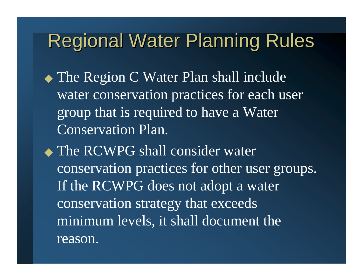## Regional Water Planning Rules

- ◆ The Region C Water Plan shall include water conservation practices for each user group that is required to have a Water Conservation Plan.
- ◆ The RCWPG shall consider water conservation practices for other user groups. If the RCWPG does not adopt a water conservation strategy that exceeds minimum levels, it shall document the reason.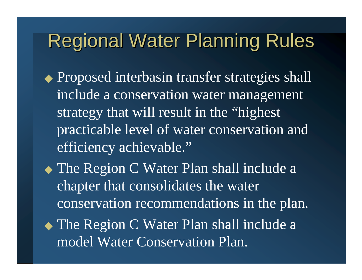## **Regional Water Planning Rules**

- ◆ Proposed interbasin transfer strategies shall include a conservation water management strategy that will result in the "highest practicable level of water conservation and efficiency achievable."
- ◆ The Region C Water Plan shall include a chapter that consolidates the water conservation recommendations in the plan. ◆ The Region C Water Plan shall include a model Water Conservation Plan.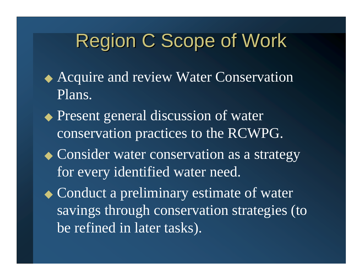- ◆ Acquire and review Water Conservation Plans.
- ◆ Present general discussion of water conservation practices to the RCWPG.
- ◆ Consider water conservation as a strategy for every identified water need.
- ◆ Conduct a preliminary estimate of water savings through conservation strategies (to be refined in later tasks).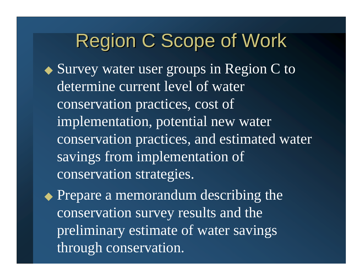◆ Survey water user groups in Region C to determine current level of water conservation practices, cost of implementation, potential new water conservation practices, and estimated water savings from implementation of conservation strategies.

◆ Prepare a memorandum describing the conservation survey results and the preliminary estimate of water savings through conservation.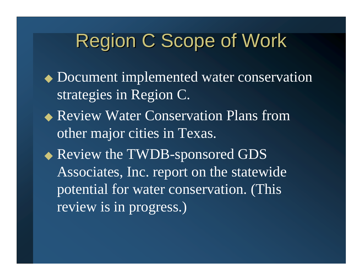◆ Document implemented water conservation strategies in Region C. ◆ Review Water Conservation Plans from other major cities in Texas. ◆ Review the TWDB-sponsored GDS Associates, Inc. report on the statewide potential for water conservation. (This review is in progress.)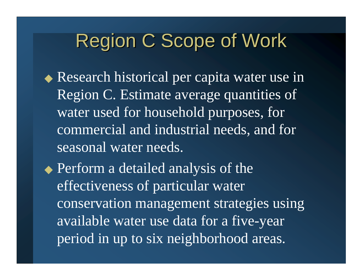- ◆ Research historical per capita water use in Region C. Estimate average quantities of water used for household purposes, for commercial and industrial needs, and for seasonal water needs.
- ◆ Perform a detailed analysis of the effectiveness of particular water conservation management strategies using available water use data for a five-year period in up to six neighborhood areas.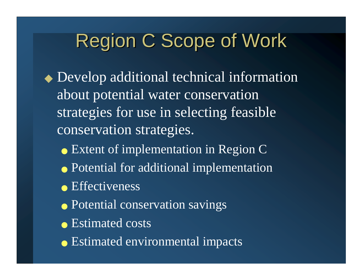- ◆ Develop additional technical information about potential water conservation strategies for use in selecting feasible conservation strategies.
	- Extent of implementation in Region C
	- Potential for additional implementation
	- Effectiveness
	- Potential conservation savings
	- Estimated costs
	- Estimated environmental impacts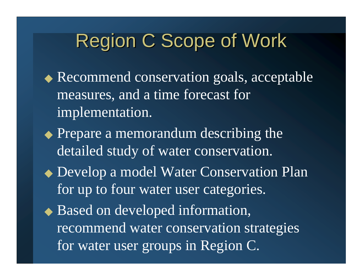- ◆ Recommend conservation goals, acceptable measures, and a time forecast for implementation.
- ◆ Prepare a memorandum describing the detailed study of water conservation.
- ◆ Develop a model Water Conservation Plan for up to four water user categories.
- ◆ Based on developed information, recommend water conservation strategies for water user groups in Region C.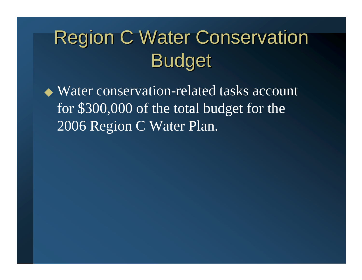## **Region C Water Conservation** Budget

◆ Water conservation-related tasks account for \$300,000 of the total budget for the 2006 Region C Water Plan.